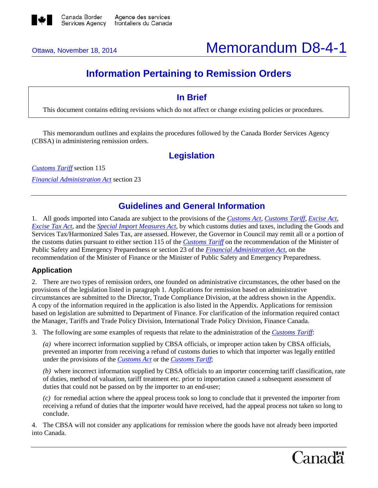

# Ottawa, November 18, 2014 **Memorandum D8-4-1**

## **Information Pertaining to Remission Orders**

## **In Brief**

This document contains editing revisions which do not affect or change existing policies or procedures.

This memorandum outlines and explains the procedures followed by the Canada Border Services Agency (CBSA) in administering remission orders.

## **Legislation**

*[Customs Tariff](http://laws-lois.justice.gc.ca/eng/acts/C-54.011/FullText.html)* section 115 *[Financial Administration Act](http://laws-lois.justice.gc.ca/eng/acts/F-11/FullText.html)* section 23

### **Guidelines and General Information**

1. All goods imported into Canada are subject to the provisions of the *[Customs Act](http://laws-lois.justice.gc.ca/eng/acts/C-52.6/FullText.html)*, *[Customs Tariff](http://laws-lois.justice.gc.ca/eng/acts/C-54.011/FullText.html)*, *[Excise Act](http://laws-lois.justice.gc.ca/eng/acts/e-14/FullText.html)*, *[Excise Tax Act](http://laws-lois.justice.gc.ca/eng/acts/e-15/FullText.html)*, and the *[Special Import Measures Act](http://laws.justice.gc.ca/eng/acts/S-15/FullText.html)*, by which customs duties and taxes, including the Goods and Services Tax/Harmonized Sales Tax, are assessed. However, the Governor in Council may remit all or a portion of the customs duties pursuant to either section 115 of the *[Customs Tariff](http://laws-lois.justice.gc.ca/eng/acts/C-54.011/FullText.html)* on the recommendation of the Minister of Public Safety and Emergency Preparedness or section 23 of the *[Financial Administration Act](http://laws-lois.justice.gc.ca/eng/acts/F-11/FullText.html)*, on the recommendation of the Minister of Finance or the Minister of Public Safety and Emergency Preparedness.

#### **Application**

2. There are two types of remission orders, one founded on administrative circumstances, the other based on the provisions of the legislation listed in paragraph 1. Applications for remission based on administrative circumstances are submitted to the Director, Trade Compliance Division, at the address shown in the Appendix. A copy of the information required in the application is also listed in the Appendix. Applications for remission based on legislation are submitted to Department of Finance. For clarification of the information required contact the Manager, Tariffs and Trade Policy Division, International Trade Policy Division, Finance Canada.

3. The following are some examples of requests that relate to the administration of the *[Customs Tariff](http://laws-lois.justice.gc.ca/eng/acts/C-54.011/FullText.html)*:

*(a)* where incorrect information supplied by CBSA officials, or improper action taken by CBSA officials, prevented an importer from receiving a refund of customs duties to which that importer was legally entitled under the provisions of the *[Customs Act](http://laws-lois.justice.gc.ca/eng/acts/C-52.6/FullText.html)* or the *[Customs Tariff](http://laws-lois.justice.gc.ca/eng/acts/C-54.011/FullText.html)*;

*(b)* where incorrect information supplied by CBSA officials to an importer concerning tariff classification, rate of duties, method of valuation, tariff treatment etc. prior to importation caused a subsequent assessment of duties that could not be passed on by the importer to an end-user;

*(c)* for remedial action where the appeal process took so long to conclude that it prevented the importer from receiving a refund of duties that the importer would have received, had the appeal process not taken so long to conclude.

4. The CBSA will not consider any applications for remission where the goods have not already been imported into Canada.

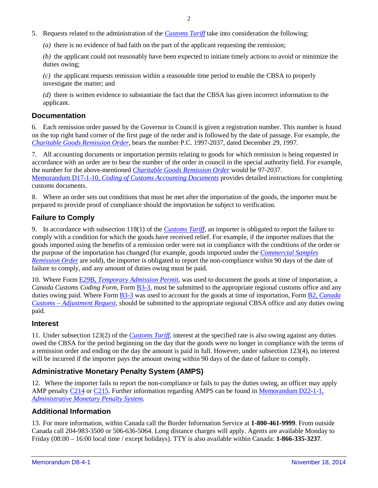- 5. Requests related to the administration of the *[Customs Tariff](http://laws-lois.justice.gc.ca/eng/acts/C-54.011/FullText.html)* take into consideration the following:
	- *(a)* there is no evidence of bad faith on the part of the applicant requesting the remission;

*(b)* the applicant could not reasonably have been expected to initiate timely actions to avoid or minimize the duties owing;

*(c)* the applicant requests remission within a reasonable time period to enable the CBSA to properly investigate the matter; and

*(d)* there is written evidence to substantiate the fact that the CBSA has given incorrect information to the applicant.

#### **Documentation**

6. Each remission order passed by the Governor in Council is given a registration number. This number is found on the top right hand corner of the first page of the order and is followed by the date of passage. For example, the *[Charitable Goods Remission Order](http://laws-lois.justice.gc.ca/eng/regulations/SI-98-8/FullText.html)*, bears the number P.C. 1997-2037, dated December 29, 1997.

7. All accounting documents or importation permits relating to goods for which remission is being requested in accordance with an order are to bear the number of the order in council in the special authority field. For example, the number for the above-mentioned *[Charitable Goods Remission Order](http://laws-lois.justice.gc.ca/eng/regulations/SI-98-8/FullText.html)* would be 97-2037. Memorandum D17-1-10, *[Coding of Customs Accounting Documents](http://cbsa.gc.ca/publications/dm-md/d17/d17-1-10-eng.html)* provides detailed instructions for completing customs documents.

8. Where an order sets out conditions that must be met after the importation of the goods, the importer must be prepared to provide proof of compliance should the importation be subject to verification.

#### **Failure to Comply**

9. In accordance with subsection 118(1) of the *[Customs Tariff,](http://laws-lois.justice.gc.ca/eng/acts/C-54.011/FullText.html)* an importer is obligated to report the failure to comply with a condition for which the goods have received relief. For example, if the importer realizes that the goods imported using the benefits of a remission order were not in compliance with the conditions of the order or the purpose of the importation has changed (for example, goods imported under the *[Commercial Samples](http://laws-lois.justice.gc.ca/eng/regulations/C.R.C.,_c._751/FullText.html)  [Remission Order](http://laws-lois.justice.gc.ca/eng/regulations/C.R.C.,_c._751/FullText.html)* are sold), the importer is obligated to report the non-compliance within 90 days of the date of failure to comply, and any amount of duties owing must be paid.

10. Where Form E29B, *[Temporary Admission Permit](http://cbsa.gc.ca/publications/forms-formulaires/e29b-eng.html)*, was used to document the goods at time of importation, a *Canada Customs Coding Form*, Form **B3-3**, must be submitted to the appropriate regional customs office and any duties owing paid. Where Form [B3-3](http://cbsa.gc.ca/publications/forms-formulaires/b3-3-eng.html) was used to account for the goods at time of importation, Form B2, *[Canada](http://cbsa.gc.ca/publications/forms-formulaires/b2-eng.html)  Customs – [Adjustment Request](http://cbsa.gc.ca/publications/forms-formulaires/b2-eng.html)*, should be submitted to the appropriate regional CBSA office and any duties owing paid.

#### **Interest**

11. Under subsection 123(2) of the *[Customs Tariff](http://laws-lois.justice.gc.ca/eng/acts/C-54.011/FullText.html)*, interest at the specified rate is also owing against any duties owed the CBSA for the period beginning on the day that the goods were no longer in compliance with the terms of a remission order and ending on the day the amount is paid in full. However, under subsection 123(4), no interest will be incurred if the importer pays the amount owing within 90 days of the date of failure to comply.

#### **Administrative Monetary Penalty System (AMPS)**

12. Where the importer fails to report the non-compliance or fails to pay the duties owing, an officer may apply AMP penalty [C214](http://www.cbsa-asfc.gc.ca/trade-commerce/amps/am-rm-eng.html%23s77) or [C215.](http://www.cbsa-asfc.gc.ca/trade-commerce/amps/am-rm-eng.html%23s78) Further information regarding AMPS can be found in [Memorandum D22-1-1,](http://cbsa.gc.ca/publications/dm-md/d22/d22-1-1-eng.html)  *[Administrative Monetary Penalty System.](http://cbsa.gc.ca/publications/dm-md/d22/d22-1-1-eng.html)*

#### **Additional Information**

13. For more information, within Canada call the Border Information Service at **1-800-461-9999**. From outside Canada call 204-983-3500 or 506-636-5064. Long distance charges will apply. Agents are available Monday to Friday (08:00 – 16:00 local time / except holidays). TTY is also available within Canada: **1-866-335-3237**.